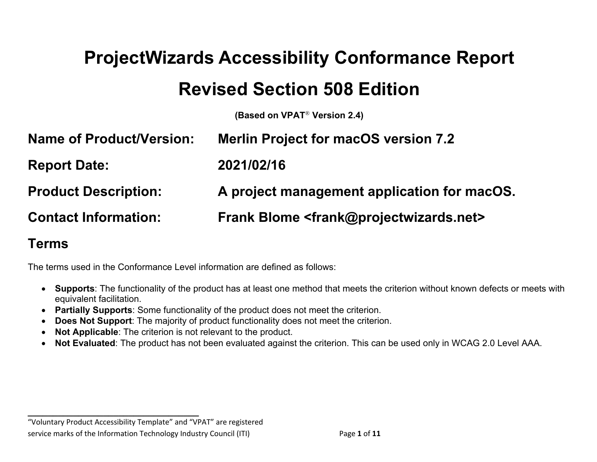# **ProjectWizards Accessibility Conformance Report Revised Section 508 Edition**

**(Based on VPAT**® **Version 2.4)**

| <b>Name of Product/Version:</b> | <b>Merlin Project for macOS version 7.2</b>                              |
|---------------------------------|--------------------------------------------------------------------------|
| <b>Report Date:</b>             | 2021/02/16                                                               |
| <b>Product Description:</b>     | A project management application for macOS.                              |
| <b>Contact Information:</b>     | <b>Frank Blome <frank@projectwizards.net></frank@projectwizards.net></b> |

#### **Terms**

The terms used in the Conformance Level information are defined as follows:

- **Supports**: The functionality of the product has at least one method that meets the criterion without known defects or meets with equivalent facilitation.
- **Partially Supports**: Some functionality of the product does not meet the criterion.
- **Does Not Support**: The majority of product functionality does not meet the criterion.
- **Not Applicable**: The criterion is not relevant to the product.
- **Not Evaluated**: The product has not been evaluated against the criterion. This can be used only in WCAG 2.0 Level AAA.

"Voluntary Product Accessibility Template" and "VPAT" are registered service marks of the Information Technology Industry Council (ITI) Page **1** of **11**

**\_\_\_\_\_\_\_\_\_\_\_\_\_\_\_\_\_\_\_\_\_\_\_\_\_\_\_\_\_\_\_\_\_\_**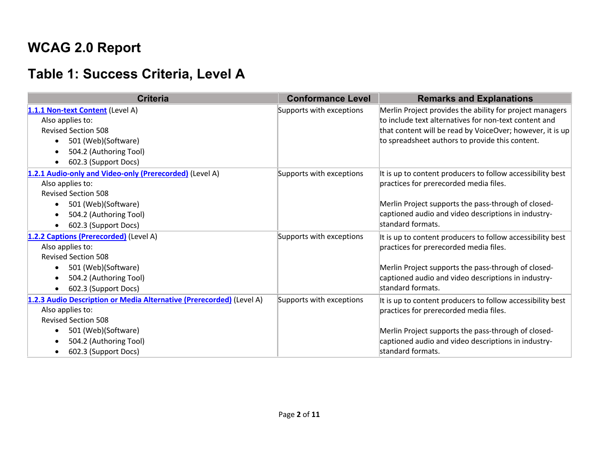### **WCAG 2.0 Report**

## **Table 1: Success Criteria, Level A**

| <b>Criteria</b>                                                      | <b>Conformance Level</b> | <b>Remarks and Explanations</b>                            |
|----------------------------------------------------------------------|--------------------------|------------------------------------------------------------|
| 1.1.1 Non-text Content (Level A)                                     | Supports with exceptions | Merlin Project provides the ability for project managers   |
| Also applies to:                                                     |                          | to include text alternatives for non-text content and      |
| <b>Revised Section 508</b>                                           |                          | that content will be read by VoiceOver; however, it is up  |
| 501 (Web)(Software)                                                  |                          | to spreadsheet authors to provide this content.            |
| 504.2 (Authoring Tool)                                               |                          |                                                            |
| 602.3 (Support Docs)<br>$\bullet$                                    |                          |                                                            |
| 1.2.1 Audio-only and Video-only (Prerecorded) (Level A)              | Supports with exceptions | It is up to content producers to follow accessibility best |
| Also applies to:                                                     |                          | practices for prerecorded media files.                     |
| <b>Revised Section 508</b>                                           |                          |                                                            |
| 501 (Web)(Software)                                                  |                          | Merlin Project supports the pass-through of closed-        |
| 504.2 (Authoring Tool)                                               |                          | captioned audio and video descriptions in industry-        |
| 602.3 (Support Docs)                                                 |                          | standard formats.                                          |
| 1.2.2 Captions (Prerecorded) (Level A)                               | Supports with exceptions | It is up to content producers to follow accessibility best |
| Also applies to:                                                     |                          | practices for prerecorded media files.                     |
| <b>Revised Section 508</b>                                           |                          |                                                            |
| 501 (Web)(Software)<br>$\bullet$                                     |                          | Merlin Project supports the pass-through of closed-        |
| 504.2 (Authoring Tool)<br>$\bullet$                                  |                          | captioned audio and video descriptions in industry-        |
| 602.3 (Support Docs)                                                 |                          | standard formats.                                          |
| 1.2.3 Audio Description or Media Alternative (Prerecorded) (Level A) | Supports with exceptions | It is up to content producers to follow accessibility best |
| Also applies to:                                                     |                          | practices for prerecorded media files.                     |
| <b>Revised Section 508</b>                                           |                          |                                                            |
| 501 (Web)(Software)<br>$\bullet$                                     |                          | Merlin Project supports the pass-through of closed-        |
| 504.2 (Authoring Tool)                                               |                          | captioned audio and video descriptions in industry-        |
| 602.3 (Support Docs)<br>$\bullet$                                    |                          | standard formats.                                          |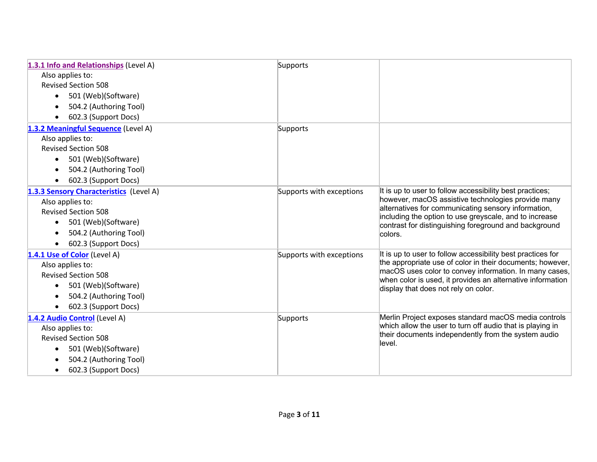| 1.3.1 Info and Relationships (Level A)  | Supports                 |                                                                                                                      |
|-----------------------------------------|--------------------------|----------------------------------------------------------------------------------------------------------------------|
| Also applies to:                        |                          |                                                                                                                      |
| <b>Revised Section 508</b>              |                          |                                                                                                                      |
| 501 (Web)(Software)<br>$\bullet$        |                          |                                                                                                                      |
| 504.2 (Authoring Tool)                  |                          |                                                                                                                      |
| 602.3 (Support Docs)                    |                          |                                                                                                                      |
| 1.3.2 Meaningful Sequence (Level A)     | Supports                 |                                                                                                                      |
| Also applies to:                        |                          |                                                                                                                      |
| <b>Revised Section 508</b>              |                          |                                                                                                                      |
| 501 (Web)(Software)<br>$\bullet$        |                          |                                                                                                                      |
| 504.2 (Authoring Tool)                  |                          |                                                                                                                      |
| 602.3 (Support Docs)                    |                          |                                                                                                                      |
| 1.3.3 Sensory Characteristics (Level A) | Supports with exceptions | It is up to user to follow accessibility best practices;                                                             |
| Also applies to:                        |                          | however, macOS assistive technologies provide many                                                                   |
| <b>Revised Section 508</b>              |                          | alternatives for communicating sensory information,<br>including the option to use greyscale, and to increase        |
| 501 (Web)(Software)                     |                          | contrast for distinguishing foreground and background                                                                |
| 504.2 (Authoring Tool)                  |                          | colors.                                                                                                              |
| 602.3 (Support Docs)                    |                          |                                                                                                                      |
| 1.4.1 Use of Color (Level A)            | Supports with exceptions | It is up to user to follow accessibility best practices for                                                          |
| Also applies to:                        |                          | the appropriate use of color in their documents; however,                                                            |
| <b>Revised Section 508</b>              |                          | macOS uses color to convey information. In many cases,<br>when color is used, it provides an alternative information |
| 501 (Web)(Software)<br>$\bullet$        |                          | display that does not rely on color.                                                                                 |
| 504.2 (Authoring Tool)                  |                          |                                                                                                                      |
| 602.3 (Support Docs)                    |                          |                                                                                                                      |
| 1.4.2 Audio Control (Level A)           | Supports                 | Merlin Project exposes standard macOS media controls                                                                 |
| Also applies to:                        |                          | which allow the user to turn off audio that is playing in                                                            |
| <b>Revised Section 508</b>              |                          | their documents independently from the system audio<br>llevel.                                                       |
| 501 (Web)(Software)                     |                          |                                                                                                                      |
| 504.2 (Authoring Tool)                  |                          |                                                                                                                      |
| 602.3 (Support Docs)                    |                          |                                                                                                                      |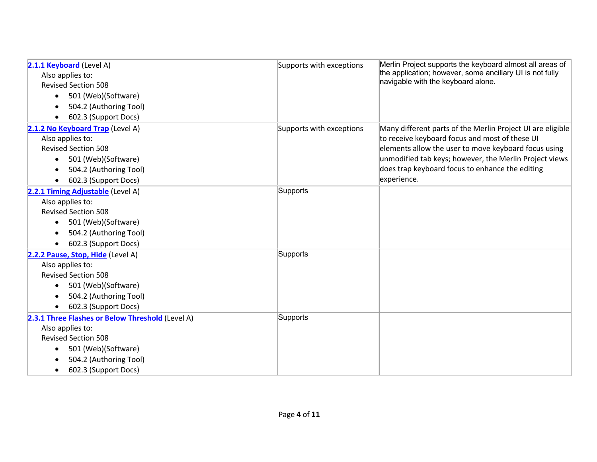| 2.1.1 Keyboard (Level A)                         | Supports with exceptions | Merlin Project supports the keyboard almost all areas of   |
|--------------------------------------------------|--------------------------|------------------------------------------------------------|
| Also applies to:                                 |                          | the application; however, some ancillary UI is not fully   |
| <b>Revised Section 508</b>                       |                          | navigable with the keyboard alone.                         |
| 501 (Web)(Software)<br>$\bullet$                 |                          |                                                            |
| 504.2 (Authoring Tool)                           |                          |                                                            |
| 602.3 (Support Docs)                             |                          |                                                            |
| 2.1.2 No Keyboard Trap (Level A)                 | Supports with exceptions | Many different parts of the Merlin Project UI are eligible |
| Also applies to:                                 |                          | to receive keyboard focus and most of these UI             |
| <b>Revised Section 508</b>                       |                          | elements allow the user to move keyboard focus using       |
| 501 (Web)(Software)<br>$\bullet$                 |                          | unmodified tab keys; however, the Merlin Project views     |
| 504.2 (Authoring Tool)                           |                          | does trap keyboard focus to enhance the editing            |
| 602.3 (Support Docs)                             |                          | experience.                                                |
| 2.2.1 Timing Adjustable (Level A)                | Supports                 |                                                            |
| Also applies to:                                 |                          |                                                            |
| <b>Revised Section 508</b>                       |                          |                                                            |
| 501 (Web)(Software)<br>$\bullet$                 |                          |                                                            |
| 504.2 (Authoring Tool)                           |                          |                                                            |
| 602.3 (Support Docs)                             |                          |                                                            |
| 2.2.2 Pause, Stop, Hide (Level A)                | Supports                 |                                                            |
| Also applies to:                                 |                          |                                                            |
| <b>Revised Section 508</b>                       |                          |                                                            |
| 501 (Web)(Software)<br>$\bullet$                 |                          |                                                            |
| 504.2 (Authoring Tool)                           |                          |                                                            |
| 602.3 (Support Docs)                             |                          |                                                            |
| 2.3.1 Three Flashes or Below Threshold (Level A) | Supports                 |                                                            |
| Also applies to:                                 |                          |                                                            |
| <b>Revised Section 508</b>                       |                          |                                                            |
| 501 (Web)(Software)                              |                          |                                                            |
| 504.2 (Authoring Tool)                           |                          |                                                            |
| 602.3 (Support Docs)                             |                          |                                                            |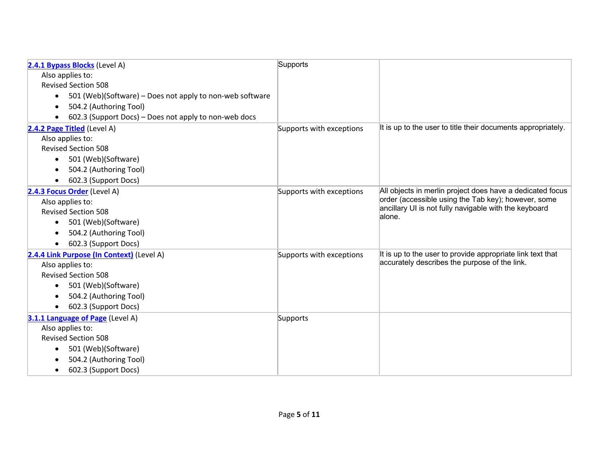| 2.4.1 Bypass Blocks (Level A)                                         | Supports                 |                                                                 |
|-----------------------------------------------------------------------|--------------------------|-----------------------------------------------------------------|
| Also applies to:                                                      |                          |                                                                 |
| <b>Revised Section 508</b>                                            |                          |                                                                 |
| 501 (Web)(Software) – Does not apply to non-web software<br>$\bullet$ |                          |                                                                 |
| 504.2 (Authoring Tool)                                                |                          |                                                                 |
| 602.3 (Support Docs) – Does not apply to non-web docs                 |                          |                                                                 |
| 2.4.2 Page Titled (Level A)                                           | Supports with exceptions | It is up to the user to title their documents appropriately.    |
| Also applies to:                                                      |                          |                                                                 |
| <b>Revised Section 508</b>                                            |                          |                                                                 |
| 501 (Web)(Software)<br>$\bullet$                                      |                          |                                                                 |
| 504.2 (Authoring Tool)                                                |                          |                                                                 |
| 602.3 (Support Docs)                                                  |                          |                                                                 |
| 2.4.3 Focus Order (Level A)                                           | Supports with exceptions | All objects in merlin project does have a dedicated focus       |
| Also applies to:                                                      |                          | order (accessible using the Tab key); however, some             |
| <b>Revised Section 508</b>                                            |                          | ancillary UI is not fully navigable with the keyboard<br>alone. |
| 501 (Web)(Software)<br>$\bullet$                                      |                          |                                                                 |
| 504.2 (Authoring Tool)                                                |                          |                                                                 |
| 602.3 (Support Docs)                                                  |                          |                                                                 |
| 2.4.4 Link Purpose (In Context) (Level A)                             | Supports with exceptions | It is up to the user to provide appropriate link text that      |
| Also applies to:                                                      |                          | accurately describes the purpose of the link.                   |
| <b>Revised Section 508</b>                                            |                          |                                                                 |
| 501 (Web)(Software)<br>$\bullet$                                      |                          |                                                                 |
| 504.2 (Authoring Tool)                                                |                          |                                                                 |
| 602.3 (Support Docs)                                                  |                          |                                                                 |
| 3.1.1 Language of Page (Level A)                                      | Supports                 |                                                                 |
| Also applies to:                                                      |                          |                                                                 |
| <b>Revised Section 508</b>                                            |                          |                                                                 |
| 501 (Web)(Software)                                                   |                          |                                                                 |
| 504.2 (Authoring Tool)                                                |                          |                                                                 |
| 602.3 (Support Docs)                                                  |                          |                                                                 |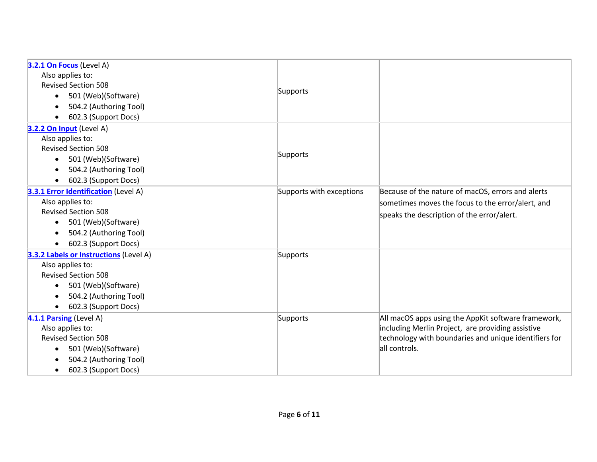| 3.2.1 On Focus (Level A)               |                          |                                                       |
|----------------------------------------|--------------------------|-------------------------------------------------------|
| Also applies to:                       |                          |                                                       |
| <b>Revised Section 508</b>             |                          |                                                       |
| 501 (Web)(Software)<br>$\bullet$       | Supports                 |                                                       |
| 504.2 (Authoring Tool)                 |                          |                                                       |
| 602.3 (Support Docs)                   |                          |                                                       |
| 3.2.2 On Input (Level A)               |                          |                                                       |
| Also applies to:                       |                          |                                                       |
| <b>Revised Section 508</b>             |                          |                                                       |
| 501 (Web)(Software)<br>$\bullet$       | Supports                 |                                                       |
| 504.2 (Authoring Tool)                 |                          |                                                       |
| 602.3 (Support Docs)<br>$\bullet$      |                          |                                                       |
| 3.3.1 Error Identification (Level A)   | Supports with exceptions | Because of the nature of macOS, errors and alerts     |
| Also applies to:                       |                          | sometimes moves the focus to the error/alert, and     |
| <b>Revised Section 508</b>             |                          | speaks the description of the error/alert.            |
| 501 (Web)(Software)<br>$\bullet$       |                          |                                                       |
| 504.2 (Authoring Tool)                 |                          |                                                       |
| 602.3 (Support Docs)                   |                          |                                                       |
| 3.3.2 Labels or Instructions (Level A) | Supports                 |                                                       |
| Also applies to:                       |                          |                                                       |
| <b>Revised Section 508</b>             |                          |                                                       |
| 501 (Web)(Software)<br>$\bullet$       |                          |                                                       |
| 504.2 (Authoring Tool)                 |                          |                                                       |
| 602.3 (Support Docs)<br>$\bullet$      |                          |                                                       |
| 4.1.1 Parsing (Level A)                | Supports                 | All macOS apps using the AppKit software framework,   |
| Also applies to:                       |                          | including Merlin Project, are providing assistive     |
| <b>Revised Section 508</b>             |                          | technology with boundaries and unique identifiers for |
| 501 (Web)(Software)<br>$\bullet$       |                          | all controls.                                         |
| 504.2 (Authoring Tool)                 |                          |                                                       |
| 602.3 (Support Docs)<br>$\bullet$      |                          |                                                       |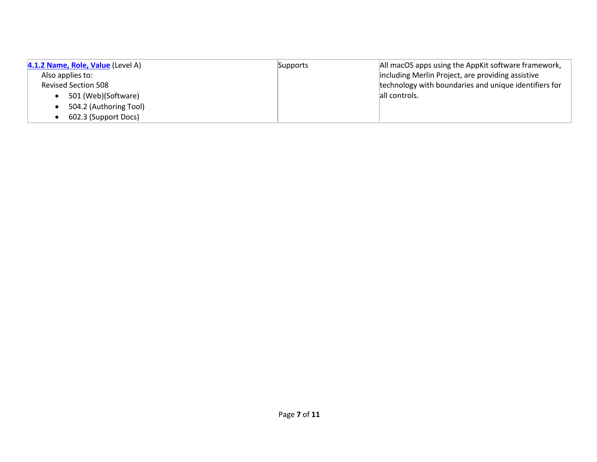| 4.1.2 Name, Role, Value (Level A) | Supports | All macOS apps using the AppKit software framework,   |
|-----------------------------------|----------|-------------------------------------------------------|
| Also applies to:                  |          | including Merlin Project, are providing assistive     |
| <b>Revised Section 508</b>        |          | technology with boundaries and unique identifiers for |
| 501 (Web)(Software)               |          | all controls.                                         |
| 504.2 (Authoring Tool)            |          |                                                       |
| 602.3 (Support Docs)              |          |                                                       |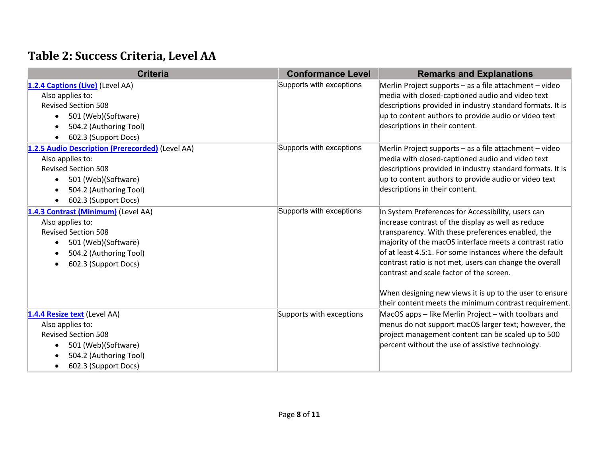#### **Table 2: Success Criteria, Level AA**

| <b>Criteria</b>                                                                                                                                                                                                    | <b>Conformance Level</b> | <b>Remarks and Explanations</b>                                                                                                                                                                                                                                                                                                                                                                                                                                                                               |
|--------------------------------------------------------------------------------------------------------------------------------------------------------------------------------------------------------------------|--------------------------|---------------------------------------------------------------------------------------------------------------------------------------------------------------------------------------------------------------------------------------------------------------------------------------------------------------------------------------------------------------------------------------------------------------------------------------------------------------------------------------------------------------|
| 1.2.4 Captions (Live) (Level AA)<br>Also applies to:<br><b>Revised Section 508</b><br>501 (Web)(Software)<br>$\bullet$<br>504.2 (Authoring Tool)<br>$\bullet$<br>602.3 (Support Docs)<br>$\bullet$                 | Supports with exceptions | Merlin Project supports - as a file attachment - video<br>media with closed-captioned audio and video text<br>descriptions provided in industry standard formats. It is<br>up to content authors to provide audio or video text<br>descriptions in their content.                                                                                                                                                                                                                                             |
| 1.2.5 Audio Description (Prerecorded) (Level AA)<br>Also applies to:<br><b>Revised Section 508</b><br>501 (Web)(Software)<br>$\bullet$<br>504.2 (Authoring Tool)<br>$\bullet$<br>602.3 (Support Docs)<br>$\bullet$ | Supports with exceptions | Merlin Project supports - as a file attachment - video<br>media with closed-captioned audio and video text<br>descriptions provided in industry standard formats. It is<br>up to content authors to provide audio or video text<br>descriptions in their content.                                                                                                                                                                                                                                             |
| 1.4.3 Contrast (Minimum) (Level AA)<br>Also applies to:<br><b>Revised Section 508</b><br>501 (Web)(Software)<br>$\bullet$<br>504.2 (Authoring Tool)<br>$\bullet$<br>602.3 (Support Docs)<br>$\bullet$              | Supports with exceptions | In System Preferences for Accessibility, users can<br>increase contrast of the display as well as reduce<br>transparency. With these preferences enabled, the<br>majority of the macOS interface meets a contrast ratio<br>of at least 4.5:1. For some instances where the default<br>contrast ratio is not met, users can change the overall<br>contrast and scale factor of the screen.<br>When designing new views it is up to the user to ensure<br>their content meets the minimum contrast requirement. |
| 1.4.4 Resize text (Level AA)<br>Also applies to:<br><b>Revised Section 508</b><br>501 (Web)(Software)<br>$\bullet$<br>504.2 (Authoring Tool)<br>602.3 (Support Docs)<br>$\bullet$                                  | Supports with exceptions | MacOS apps - like Merlin Project - with toolbars and<br>menus do not support macOS larger text; however, the<br>project management content can be scaled up to 500<br>percent without the use of assistive technology.                                                                                                                                                                                                                                                                                        |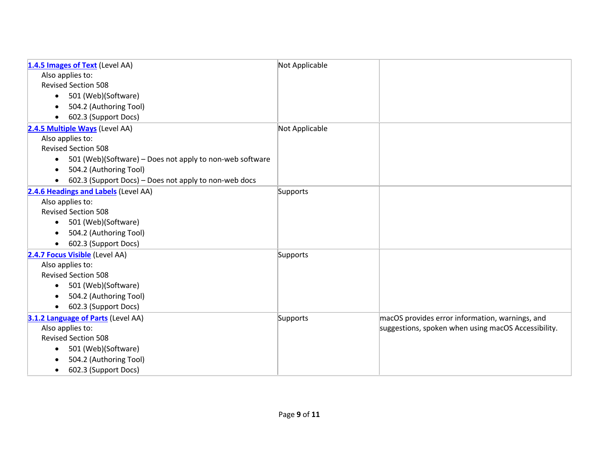| 1.4.5 Images of Text (Level AA)                                       | Not Applicable |                                                     |
|-----------------------------------------------------------------------|----------------|-----------------------------------------------------|
| Also applies to:                                                      |                |                                                     |
| <b>Revised Section 508</b>                                            |                |                                                     |
| 501 (Web)(Software)<br>$\bullet$                                      |                |                                                     |
| 504.2 (Authoring Tool)                                                |                |                                                     |
| 602.3 (Support Docs)<br>$\bullet$                                     |                |                                                     |
| 2.4.5 Multiple Ways (Level AA)                                        | Not Applicable |                                                     |
| Also applies to:                                                      |                |                                                     |
| <b>Revised Section 508</b>                                            |                |                                                     |
| 501 (Web)(Software) – Does not apply to non-web software<br>$\bullet$ |                |                                                     |
| 504.2 (Authoring Tool)<br>$\bullet$                                   |                |                                                     |
| 602.3 (Support Docs) - Does not apply to non-web docs<br>$\bullet$    |                |                                                     |
| 2.4.6 Headings and Labels (Level AA)                                  | Supports       |                                                     |
| Also applies to:                                                      |                |                                                     |
| <b>Revised Section 508</b>                                            |                |                                                     |
| 501 (Web)(Software)<br>$\bullet$                                      |                |                                                     |
| 504.2 (Authoring Tool)                                                |                |                                                     |
| 602.3 (Support Docs)<br>$\bullet$                                     |                |                                                     |
| 2.4.7 Focus Visible (Level AA)                                        | Supports       |                                                     |
| Also applies to:                                                      |                |                                                     |
| <b>Revised Section 508</b>                                            |                |                                                     |
| 501 (Web)(Software)<br>$\bullet$                                      |                |                                                     |
| 504.2 (Authoring Tool)                                                |                |                                                     |
| 602.3 (Support Docs)<br>$\bullet$                                     |                |                                                     |
| 3.1.2 Language of Parts (Level AA)                                    | Supports       | macOS provides error information, warnings, and     |
| Also applies to:                                                      |                | suggestions, spoken when using macOS Accessibility. |
| <b>Revised Section 508</b>                                            |                |                                                     |
| 501 (Web)(Software)<br>$\bullet$                                      |                |                                                     |
| 504.2 (Authoring Tool)                                                |                |                                                     |
| 602.3 (Support Docs)<br>$\bullet$                                     |                |                                                     |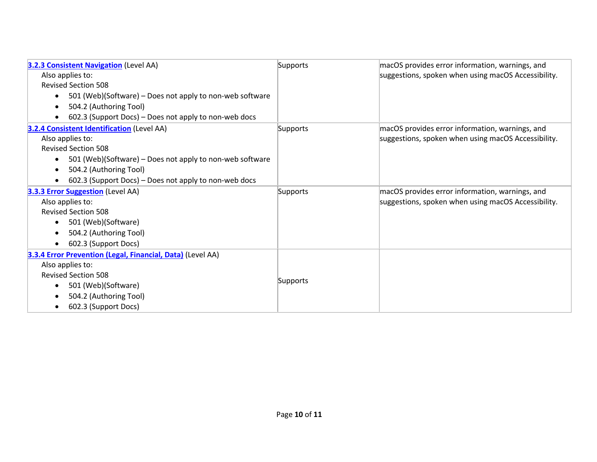| 3.2.3 Consistent Navigation (Level AA)                                | Supports | macOS provides error information, warnings, and     |
|-----------------------------------------------------------------------|----------|-----------------------------------------------------|
| Also applies to:                                                      |          | suggestions, spoken when using macOS Accessibility. |
| <b>Revised Section 508</b>                                            |          |                                                     |
| 501 (Web)(Software) – Does not apply to non-web software<br>$\bullet$ |          |                                                     |
| 504.2 (Authoring Tool)                                                |          |                                                     |
| 602.3 (Support Docs) - Does not apply to non-web docs                 |          |                                                     |
| <b>3.2.4 Consistent Identification (Level AA)</b>                     | Supports | macOS provides error information, warnings, and     |
| Also applies to:                                                      |          | suggestions, spoken when using macOS Accessibility. |
| <b>Revised Section 508</b>                                            |          |                                                     |
| 501 (Web)(Software) – Does not apply to non-web software<br>$\bullet$ |          |                                                     |
| 504.2 (Authoring Tool)<br>$\bullet$                                   |          |                                                     |
| 602.3 (Support Docs) – Does not apply to non-web docs                 |          |                                                     |
| <b>3.3.3 Error Suggestion</b> (Level AA)                              | Supports | macOS provides error information, warnings, and     |
| Also applies to:                                                      |          | suggestions, spoken when using macOS Accessibility. |
| <b>Revised Section 508</b>                                            |          |                                                     |
| 501 (Web)(Software)                                                   |          |                                                     |
| 504.2 (Authoring Tool)                                                |          |                                                     |
| 602.3 (Support Docs)<br>$\bullet$                                     |          |                                                     |
| 3.3.4 Error Prevention (Legal, Financial, Data) (Level AA)            |          |                                                     |
| Also applies to:                                                      |          |                                                     |
| <b>Revised Section 508</b>                                            |          |                                                     |
| 501 (Web)(Software)                                                   | Supports |                                                     |
| 504.2 (Authoring Tool)                                                |          |                                                     |
| 602.3 (Support Docs)                                                  |          |                                                     |